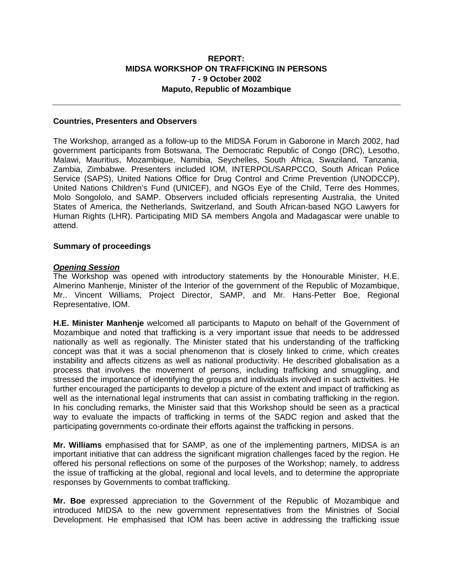# **REPORT: MIDSA WORKSHOP ON TRAFFICKING IN PERSONS 7 - 9 October 2002 Maputo, Republic of Mozambique**

#### **Countries, Presenters and Observers**

The Workshop, arranged as a follow-up to the MIDSA Forum in Gaborone in March 2002, had government participants from Botswana, The Democratic Republic of Congo (DRC), Lesotho, Malawi, Mauritius, Mozambique, Namibia, Seychelles, South Africa, Swaziland, Tanzania, Zambia, Zimbabwe. Presenters included IOM, INTERPOL/SARPCCO, South African Police Service (SAPS), United Nations Office for Drug Control and Crime Prevention (UNODCCP), United Nations Children's Fund (UNICEF), and NGOs Eye of the Child, Terre des Hommes, Molo Songololo, and SAMP. Observers included officials representing Australia, the United States of America, the Netherlands, Switzerland, and South African-based NGO Lawyers for Human Rights (LHR). Participating MID SA members Angola and Madagascar were unable to attend.

#### **Summary of proceedings**

#### *Opening Session*

The Workshop was opened with introductory statements by the Honourable Minister, H.E. Almerino Manhenje, Minister of the Interior of the government of the Republic of Mozambique, Mr.. Vincent Williams, Project Director, SAMP, and Mr. Hans-Petter Boe, Regional Representative, IOM.

**H.E. Minister Manhenje** welcomed all participants to Maputo on behalf of the Government of Mozambique and noted that trafficking is a very important issue that needs to be addressed nationally as well as regionally. The Minister stated that his understanding of the trafficking concept was that it was a social phenomenon that is closely linked to crime, which creates instability and affects citizens as well as national productivity. He described globalisation as a process that involves the movement of persons, including trafficking and smuggling, and stressed the importance of identifying the groups and individuals involved in such activities. He further encouraged the participants to develop a picture of the extent and impact of trafficking as well as the international legal instruments that can assist in combating trafficking in the region. In his concluding remarks, the Minister said that this Workshop should be seen as a practical way to evaluate the impacts of trafficking in terms of the SADC region and asked that the participating governments co-ordinate their efforts against the trafficking in persons.

**Mr. Williams** emphasised that for SAMP, as one of the implementing partners, MIDSA is an important initiative that can address the significant migration challenges faced by the region. He offered his personal reflections on some of the purposes of the Workshop; namely, to address the issue of trafficking at the global, regional and local levels, and to determine the appropriate responses by Governments to combat trafficking.

**Mr. Boe** expressed appreciation to the Government of the Republic of Mozambique and introduced MIDSA to the new government representatives from the Ministries of Social Development. He emphasised that IOM has been active in addressing the trafficking issue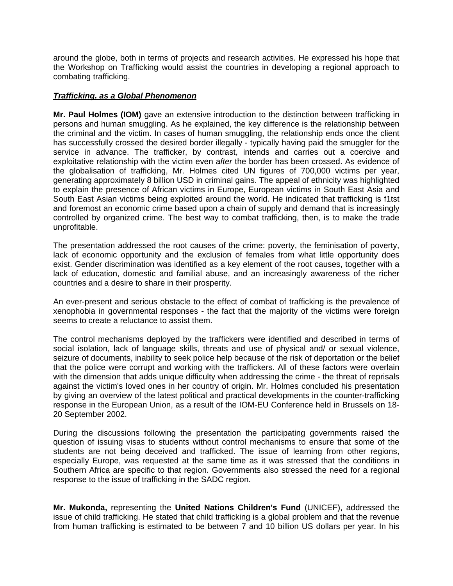around the globe, both in terms of projects and research activities. He expressed his hope that the Workshop on Trafficking would assist the countries in developing a regional approach to combating trafficking.

#### *Trafficking. as a Global Phenomenon*

**Mr. Paul Holmes (IOM)** gave an extensive introduction to the distinction between trafficking in persons and human smuggling. As he explained, the key difference is the relationship between the criminal and the victim. In cases of human smuggling, the relationship ends once the client has successfully crossed the desired border illegally - typically having paid the smuggler for the service in advance. The trafficker, by contrast, intends and carries out a coercive and exploitative relationship with the victim even a*fter* the border has been crossed. As evidence of the globalisation of trafficking, Mr. Holmes cited UN figures of 700,000 victims per year, generating approximately 8 billion USD in criminal gains. The appeal of ethnicity was highlighted to explain the presence of African victims in Europe, European victims in South East Asia and South East Asian victims being exploited around the world. He indicated that trafficking is f1tst and foremost an economic crime based upon a chain of supply and demand that is increasingly controlled by organized crime. The best way to combat trafficking, then, is to make the trade unprofitable.

The presentation addressed the root causes of the crime: poverty, the feminisation of poverty, lack of economic opportunity and the exclusion of females from what little opportunity does exist. Gender discrimination was identified as a key element of the root causes, together with a lack of education, domestic and familial abuse, and an increasingly awareness of the richer countries and a desire to share in their prosperity.

An ever-present and serious obstacle to the effect of combat of trafficking is the prevalence of xenophobia in governmental responses - the fact that the majority of the victims were foreign seems to create a reluctance to assist them.

The control mechanisms deployed by the traffickers were identified and described in terms of social isolation, lack of language skills, threats and use of physical and/ or sexual violence, seizure of documents, inability to seek police help because of the risk of deportation or the belief that the police were corrupt and working with the traffickers. All of these factors were overlain with the dimension that adds unique difficulty when addressing the crime - the threat of reprisals against the victim's loved ones in her country of origin. Mr. Holmes concluded his presentation by giving an overview of the latest political and practical developments in the counter-trafficking response in the European Union, as a result of the IOM-EU Conference held in Brussels on 18- 20 September 2002.

During the discussions following the presentation the participating governments raised the question of issuing visas to students without control mechanisms to ensure that some of the students are not being deceived and trafficked. The issue of learning from other regions, especially Europe, was requested at the same time as it was stressed that the conditions in Southern Africa are specific to that region. Governments also stressed the need for a regional response to the issue of trafficking in the SADC region.

**Mr. Mukonda,** representing the **United Nations Children's Fund** (UNICEF), addressed the issue of child trafficking. He stated that child trafficking is a global problem and that the revenue from human trafficking is estimated to be between 7 and 10 billion US dollars per year. In his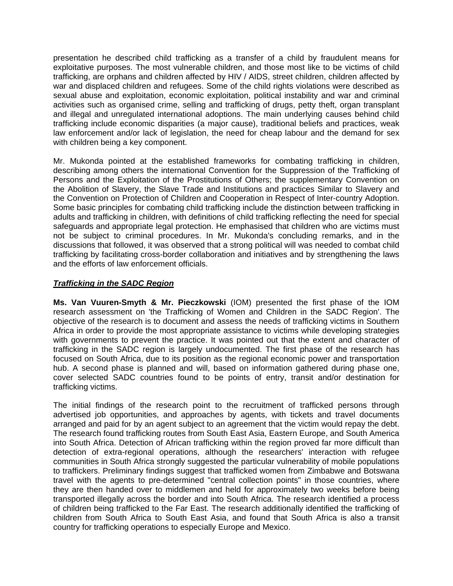presentation he described child trafficking as a transfer of a child by fraudulent means for exploitative purposes. The most vulnerable children, and those most like to be victims of child trafficking, are orphans and children affected by HIV / AIDS, street children, children affected by war and displaced children and refugees. Some of the child rights violations were described as sexual abuse and exploitation, economic exploitation, political instability and war and criminal activities such as organised crime, selling and trafficking of drugs, petty theft, organ transplant and illegal and unregulated international adoptions. The main underlying causes behind child trafficking include economic disparities (a major cause), traditional beliefs and practices, weak law enforcement and/or lack of legislation, the need for cheap labour and the demand for sex with children being a key component.

Mr. Mukonda pointed at the established frameworks for combating trafficking in children, describing among others the international Convention for the Suppression of the Trafficking of Persons and the Exploitation of the Prostitutions of Others; the supplementary Convention on the Abolition of Slavery, the Slave Trade and Institutions and practices Similar to Slavery and the Convention on Protection of Children and Cooperation in Respect of Inter-country Adoption. Some basic principles for combating child trafficking include the distinction between trafficking in adults and trafficking in children, with definitions of child trafficking reflecting the need for special safeguards and appropriate legal protection. He emphasised that children who are victims must not be subject to criminal procedures. In Mr. Mukonda's concluding remarks, and in the discussions that followed, it was observed that a strong political will was needed to combat child trafficking by facilitating cross-border collaboration and initiatives and by strengthening the laws and the efforts of law enforcement officials.

# *Trafficking in the SADC Region*

**Ms. Van Vuuren-Smyth & Mr. Pieczkowski** (IOM) presented the first phase of the IOM research assessment on 'the Trafficking of Women and Children in the SADC Region'. The objective of the research is to document and assess the needs of trafficking victims in Southern Africa in order to provide the most appropriate assistance to victims while developing strategies with governments to prevent the practice. It was pointed out that the extent and character of trafficking in the SADC region is largely undocumented. The first phase of the research has focused on South Africa, due to its position as the regional economic power and transportation hub. A second phase is planned and will, based on information gathered during phase one, cover selected SADC countries found to be points of entry, transit and/or destination for trafficking victims.

The initial findings of the research point to the recruitment of trafficked persons through advertised job opportunities, and approaches by agents, with tickets and travel documents arranged and paid for by an agent subject to an agreement that the victim would repay the debt. The research found trafficking routes from South East Asia, Eastern Europe, and South America into South Africa. Detection of African trafficking within the region proved far more difficult than detection of extra-regional operations, although the researchers' interaction with refugee communities in South Africa strongly suggested the particular vulnerability of mobile populations to traffickers. Preliminary findings suggest that trafficked women from Zimbabwe and Botswana travel with the agents to pre-determined "central collection points" in those countries, where they are then handed over to middlemen and held for approximately two weeks before being transported illegally across the border and into South Africa. The research identified a process of children being trafficked to the Far East. The research additionally identified the trafficking of children from South Africa to South East Asia, and found that South Africa is also a transit country for trafficking operations to especially Europe and Mexico.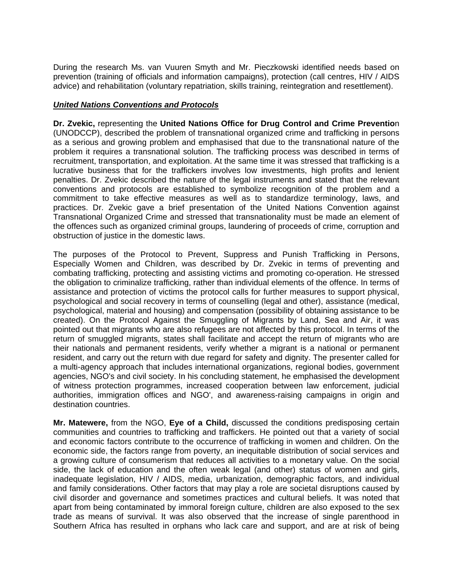During the research Ms. van Vuuren Smyth and Mr. Pieczkowski identified needs based on prevention (training of officials and information campaigns), protection (call centres, HIV / AIDS advice) and rehabilitation (voluntary repatriation, skills training, reintegration and resettlement).

#### *United Nations Conventions and Protocols*

**Dr. Zvekic,** representing the **United Nations Office for Drug Control and Crime Preventio**n (UNODCCP), described the problem of transnational organized crime and trafficking in persons as a serious and growing problem and emphasised that due to the transnational nature of the problem it requires a transnational solution. The trafficking process was described in terms of recruitment, transportation, and exploitation. At the same time it was stressed that trafficking is a lucrative business that for the traffickers involves low investments, high profits and lenient penalties. Dr. Zvekic described the nature of the legal instruments and stated that the relevant conventions and protocols are established to symbolize recognition of the problem and a commitment to take effective measures as well as to standardize terminology, laws, and practices. Dr. Zvekic gave a brief presentation of the United Nations Convention against Transnational Organized Crime and stressed that transnationality must be made an element of the offences such as organized criminal groups, laundering of proceeds of crime, corruption and obstruction of justice in the domestic laws.

The purposes of the Protocol to Prevent, Suppress and Punish Trafficking in Persons, Especially Women and Children, was described by Dr. Zvekic in terms of preventing and combating trafficking, protecting and assisting victims and promoting co-operation. He stressed the obligation to criminalize trafficking, rather than individual elements of the offence. In terms of assistance and protection of victims the protocol calls for further measures to support physical, psychological and social recovery in terms of counselling (legal and other), assistance (medical, psychological, material and housing) and compensation (possibility of obtaining assistance to be created). On the Protocol Against the Smuggling of Migrants by Land, Sea and Air, it was pointed out that migrants who are also refugees are not affected by this protocol. In terms of the return of smuggled migrants, states shall facilitate and accept the return of migrants who are their nationals and permanent residents, verify whether a migrant is a national or permanent resident, and carry out the return with due regard for safety and dignity. The presenter called for a multi-agency approach that includes international organizations, regional bodies, government agencies, NGO's and civil society. In his concluding statement, he emphasised the development of witness protection programmes, increased cooperation between law enforcement, judicial authorities, immigration offices and NGO', and awareness-raising campaigns in origin and destination countries.

**Mr. Matewere,** from the NGO, **Eye of a Child,** discussed the conditions predisposing certain communities and countries to trafficking and traffickers. He pointed out that a variety of social and economic factors contribute to the occurrence of trafficking in women and children. On the economic side, the factors range from poverty, an inequitable distribution of social services and a growing culture of consumerism that reduces all activities to a monetary value. On the social side, the lack of education and the often weak legal (and other) status of women and girls, inadequate legislation, HIV / AIDS, media, urbanization, demographic factors, and individual and family considerations. Other factors that may play a role are societal disruptions caused by civil disorder and governance and sometimes practices and cultural beliefs. It was noted that apart from being contaminated by immoral foreign culture, children are also exposed to the sex trade as means of survival. It was also observed that the increase of single parenthood in Southern Africa has resulted in orphans who lack care and support, and are at risk of being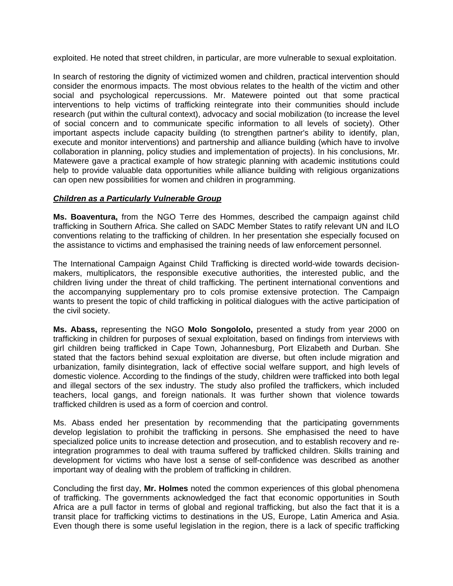exploited. He noted that street children, in particular, are more vulnerable to sexual exploitation.

In search of restoring the dignity of victimized women and children, practical intervention should consider the enormous impacts. The most obvious relates to the health of the victim and other social and psychological repercussions. Mr. Matewere pointed out that some practical interventions to help victims of trafficking reintegrate into their communities should include research (put within the cultural context), advocacy and social mobilization (to increase the level of social concern and to communicate specific information to all levels of society). Other important aspects include capacity building (to strengthen partner's ability to identify, plan, execute and monitor interventions) and partnership and alliance building (which have to involve collaboration in planning, policy studies and implementation of projects). In his conclusions, Mr. Matewere gave a practical example of how strategic planning with academic institutions could help to provide valuable data opportunities while alliance building with religious organizations can open new possibilities for women and children in programming.

## *Children as a Particularly Vulnerable Group*

**Ms. Boaventura,** from the NGO Terre des Hommes, described the campaign against child trafficking in Southern Africa. She called on SADC Member States to ratify relevant UN and ILO conventions relating to the trafficking of children. In her presentation she especially focused on the assistance to victims and emphasised the training needs of law enforcement personnel.

The International Campaign Against Child Trafficking is directed world-wide towards decisionmakers, multiplicators, the responsible executive authorities, the interested public, and the children living under the threat of child trafficking. The pertinent international conventions and the accompanying supplementary pro to cols promise extensive protection. The Campaign wants to present the topic of child trafficking in political dialogues with the active participation of the civil society.

**Ms. Abass,** representing the NGO **Molo Songololo,** presented a study from year 2000 on trafficking in children for purposes of sexual exploitation, based on findings from interviews with girl children being trafficked in Cape Town, Johannesburg, Port Elizabeth and Durban. She stated that the factors behind sexual exploitation are diverse, but often include migration and urbanization, family disintegration, lack of effective social welfare support, and high levels of domestic violence. According to the findings of the study, children were trafficked into both legal and illegal sectors of the sex industry. The study also profiled the traffickers, which included teachers, local gangs, and foreign nationals. It was further shown that violence towards trafficked children is used as a form of coercion and control.

Ms. Abass ended her presentation by recommending that the participating governments develop legislation to prohibit the trafficking in persons. She emphasised the need to have specialized police units to increase detection and prosecution, and to establish recovery and reintegration programmes to deal with trauma suffered by trafficked children. Skills training and development for victims who have lost a sense of self-confidence was described as another important way of dealing with the problem of trafficking in children.

Concluding the first day, **Mr. Holmes** noted the common experiences of this global phenomena of trafficking. The governments acknowledged the fact that economic opportunities in South Africa are a pull factor in terms of global and regional trafficking, but also the fact that it is a transit place for trafficking victims to destinations in the US, Europe, Latin America and Asia. Even though there is some useful legislation in the region, there is a lack of specific trafficking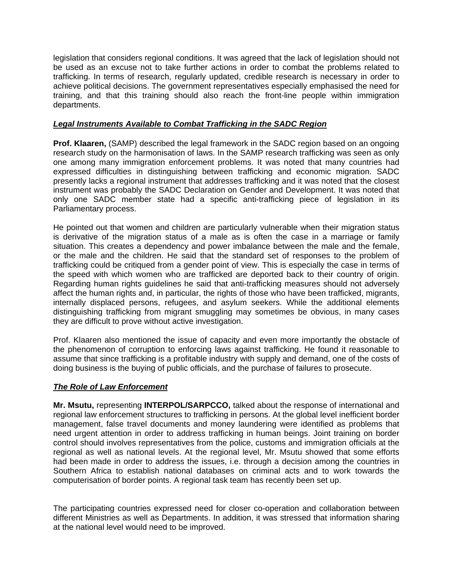legislation that considers regional conditions. It was agreed that the lack of legislation should not be used as an excuse not to take further actions in order to combat the problems related to trafficking. In terms of research, regularly updated, credible research is necessary in order to achieve political decisions. The government representatives especially emphasised the need for training, and that this training should also reach the front-line people within immigration departments.

## *Legal Instruments Available to Combat Trafficking in the SADC Region*

**Prof. Klaaren,** (SAMP) described the legal framework in the SADC region based on an ongoing research study on the harmonisation of laws. In the SAMP research trafficking was seen as only one among many immigration enforcement problems. It was noted that many countries had expressed difficulties in distinguishing between trafficking and economic migration. SADC presently lacks a regional instrument that addresses trafficking and it was noted that the closest instrument was probably the SADC Declaration on Gender and Development. It was noted that only one SADC member state had a specific anti-trafficking piece of legislation in its Parliamentary process.

He pointed out that women and children are particularly vulnerable when their migration status is derivative of the migration status of a male as is often the case in a marriage or family situation. This creates a dependency and power imbalance between the male and the female, or the male and the children. He said that the standard set of responses to the problem of trafficking could be critiqued from a gender point of view. This is especially the case in terms of the speed with which women who are trafficked are deported back to their country of origin. Regarding human rights guidelines he said that anti-trafficking measures should not adversely affect the human rights and, in particular, the rights of those who have been trafficked, migrants, internally displaced persons, refugees, and asylum seekers. While the additional elements distinguishing trafficking from migrant smuggling may sometimes be obvious, in many cases they are difficult to prove without active investigation.

Prof. Klaaren also mentioned the issue of capacity and even more importantly the obstacle of the phenomenon of corruption to enforcing laws against trafficking. He found it reasonable to assume that since trafficking is a profitable industry with supply and demand, one of the costs of doing business is the buying of public officials, and the purchase of failures to prosecute.

## *The Role of Law Enforcement*

**Mr. Msutu,** representing **INTERPOL/SARPCCO,** talked about the response of international and regional law enforcement structures to trafficking in persons. At the global level inefficient border management, false travel documents and money laundering were identified as problems that need urgent attention in order to address trafficking in human beings. Joint training on border control should involves representatives from the police, customs and immigration officials at the regional as well as national levels. At the regional level, Mr. Msutu showed that some efforts had been made in order to address the issues, i.e. through a decision among the countries in Southern Africa to establish national databases on criminal acts and to work towards the computerisation of border points. A regional task team has recently been set up.

The participating countries expressed need for closer co-operation and collaboration between different Ministries as well as Departments. In addition, it was stressed that information sharing at the national level would need to be improved.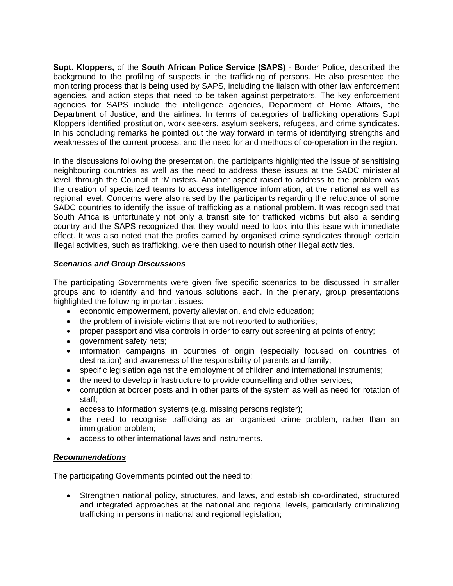**Supt. Kloppers,** of the **South African Police Service (SAPS)** - Border Police, described the background to the profiling of suspects in the trafficking of persons. He also presented the monitoring process that is being used by SAPS, including the liaison with other law enforcement agencies, and action steps that need to be taken against perpetrators. The key enforcement agencies for SAPS include the intelligence agencies, Department of Home Affairs, the Department of Justice, and the airlines. In terms of categories of trafficking operations Supt Kloppers identified prostitution, work seekers, asylum seekers, refugees, and crime syndicates. In his concluding remarks he pointed out the way forward in terms of identifying strengths and weaknesses of the current process, and the need for and methods of co-operation in the region.

In the discussions following the presentation, the participants highlighted the issue of sensitising neighbouring countries as well as the need to address these issues at the SADC ministerial level, through the Council of :Ministers. Another aspect raised to address to the problem was the creation of specialized teams to access intelligence information, at the national as well as regional level. Concerns were also raised by the participants regarding the reluctance of some SADC countries to identify the issue of trafficking as a national problem. It was recognised that South Africa is unfortunately not only a transit site for trafficked victims but also a sending country and the SAPS recognized that they would need to look into this issue with immediate effect. It was also noted that the profits earned by organised crime syndicates through certain illegal activities, such as trafficking, were then used to nourish other illegal activities.

## *Scenarios and Group Discussions*

The participating Governments were given five specific scenarios to be discussed in smaller groups and to identify and find various solutions each. In the plenary, group presentations highlighted the following important issues:

- economic empowerment, poverty alleviation, and civic education;
- the problem of invisible victims that are not reported to authorities;
- proper passport and visa controls in order to carry out screening at points of entry;
- government safety nets;
- information campaigns in countries of origin (especially focused on countries of destination) and awareness of the responsibility of parents and family;
- specific legislation against the employment of children and international instruments;
- the need to develop infrastructure to provide counselling and other services;
- corruption at border posts and in other parts of the system as well as need for rotation of staff;
- access to information systems (e.g. missing persons register);
- the need to recognise trafficking as an organised crime problem, rather than an immigration problem:
- access to other international laws and instruments.

#### *Recommendations*

The participating Governments pointed out the need to:

• Strengthen national policy, structures, and laws, and establish co-ordinated, structured and integrated approaches at the national and regional levels, particularly criminalizing trafficking in persons in national and regional legislation;